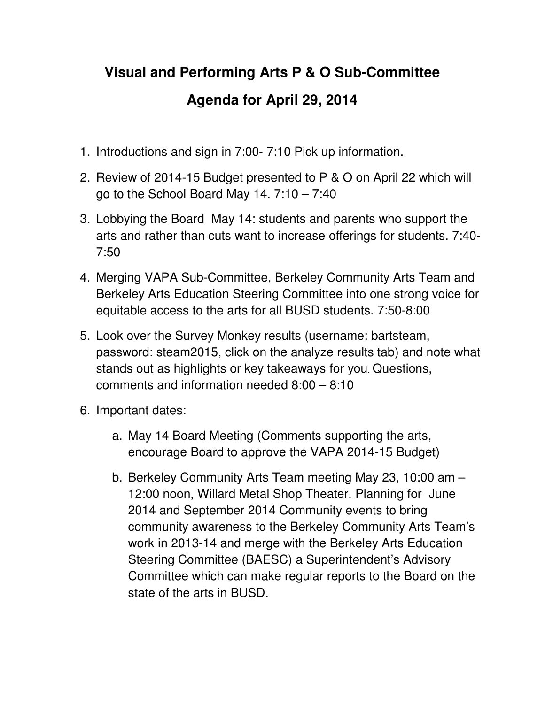## **Visual and Performing Arts P & O Sub-Committee Agenda for April 29, 2014**

- 1. Introductions and sign in 7:00- 7:10 Pick up information.
- 2. Review of 2014-15 Budget presented to P & O on April 22 which will go to the School Board May 14. 7:10 – 7:40
- 3. Lobbying the Board May 14: students and parents who support the arts and rather than cuts want to increase offerings for students. 7:40- 7:50
- 4. Merging VAPA Sub-Committee, Berkeley Community Arts Team and Berkeley Arts Education Steering Committee into one strong voice for equitable access to the arts for all BUSD students. 7:50-8:00
- 5. Look over the Survey Monkey results (username: bartsteam, password: steam2015, click on the analyze results tab) and note what stands out as highlights or key takeaways for you. Questions, comments and information needed 8:00 – 8:10
- 6. Important dates:
	- a. May 14 Board Meeting (Comments supporting the arts, encourage Board to approve the VAPA 2014-15 Budget)
	- b. Berkeley Community Arts Team meeting May 23, 10:00 am 12:00 noon, Willard Metal Shop Theater. Planning for June 2014 and September 2014 Community events to bring community awareness to the Berkeley Community Arts Team's work in 2013-14 and merge with the Berkeley Arts Education Steering Committee (BAESC) a Superintendent's Advisory Committee which can make regular reports to the Board on the state of the arts in BUSD.